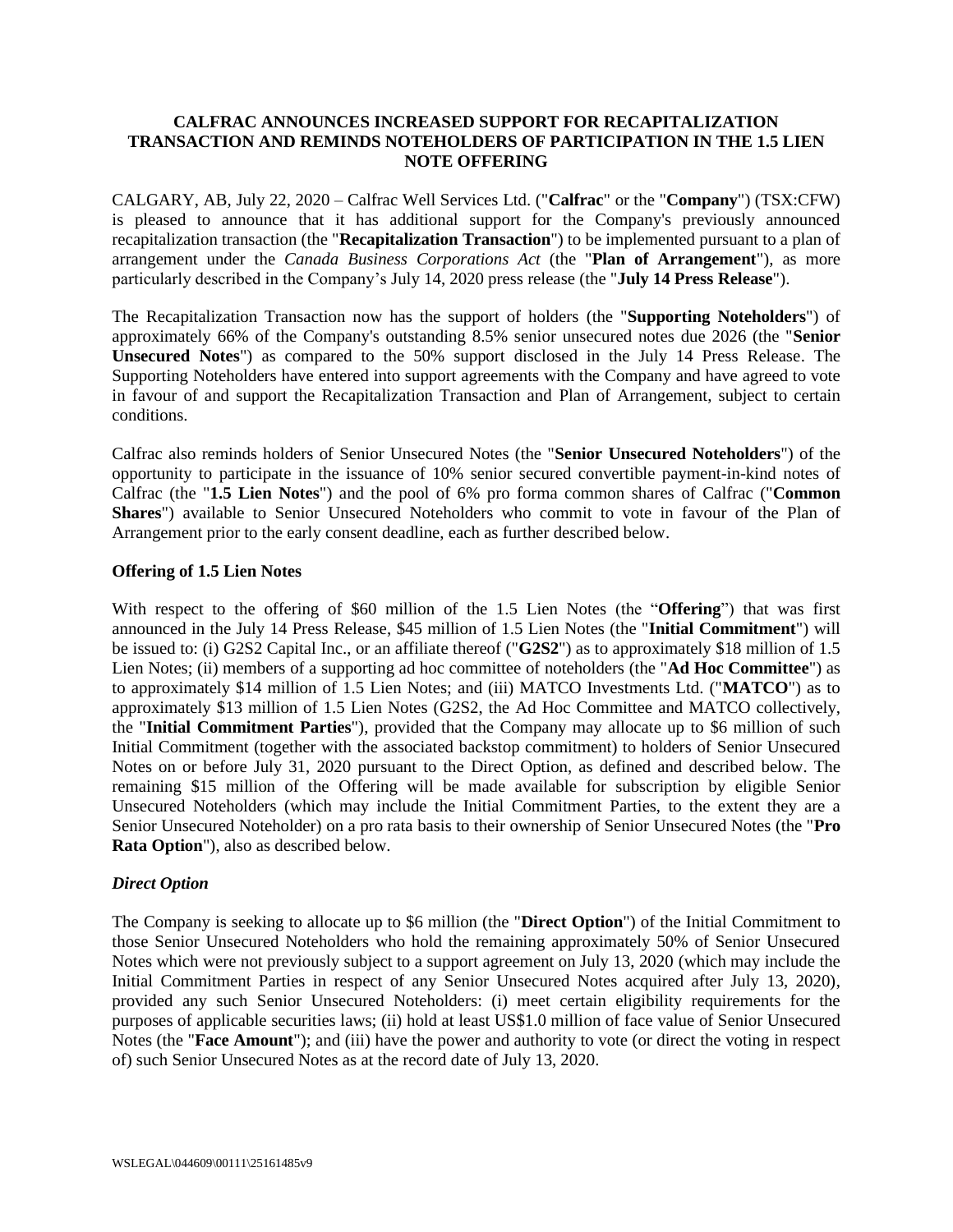# **CALFRAC ANNOUNCES INCREASED SUPPORT FOR RECAPITALIZATION TRANSACTION AND REMINDS NOTEHOLDERS OF PARTICIPATION IN THE 1.5 LIEN NOTE OFFERING**

CALGARY, AB, July 22, 2020 – Calfrac Well Services Ltd. ("**Calfrac**" or the "**Company**") (TSX:CFW) is pleased to announce that it has additional support for the Company's previously announced recapitalization transaction (the "**Recapitalization Transaction**") to be implemented pursuant to a plan of arrangement under the *Canada Business Corporations Act* (the "**Plan of Arrangement**"), as more particularly described in the Company's July 14, 2020 press release (the "**July 14 Press Release**").

The Recapitalization Transaction now has the support of holders (the "**Supporting Noteholders**") of approximately 66% of the Company's outstanding 8.5% senior unsecured notes due 2026 (the "**Senior Unsecured Notes**") as compared to the 50% support disclosed in the July 14 Press Release. The Supporting Noteholders have entered into support agreements with the Company and have agreed to vote in favour of and support the Recapitalization Transaction and Plan of Arrangement, subject to certain conditions.

Calfrac also reminds holders of Senior Unsecured Notes (the "**Senior Unsecured Noteholders**") of the opportunity to participate in the issuance of 10% senior secured convertible payment-in-kind notes of Calfrac (the "**1.5 Lien Notes**") and the pool of 6% pro forma common shares of Calfrac ("**Common Shares**") available to Senior Unsecured Noteholders who commit to vote in favour of the Plan of Arrangement prior to the early consent deadline, each as further described below.

### **Offering of 1.5 Lien Notes**

With respect to the offering of \$60 million of the 1.5 Lien Notes (the "**Offering**") that was first announced in the July 14 Press Release, \$45 million of 1.5 Lien Notes (the "**Initial Commitment**") will be issued to: (i) G2S2 Capital Inc., or an affiliate thereof ("**G2S2**") as to approximately \$18 million of 1.5 Lien Notes; (ii) members of a supporting ad hoc committee of noteholders (the "**Ad Hoc Committee**") as to approximately \$14 million of 1.5 Lien Notes; and (iii) MATCO Investments Ltd. ("**MATCO**") as to approximately \$13 million of 1.5 Lien Notes (G2S2, the Ad Hoc Committee and MATCO collectively, the "**Initial Commitment Parties**"), provided that the Company may allocate up to \$6 million of such Initial Commitment (together with the associated backstop commitment) to holders of Senior Unsecured Notes on or before July 31, 2020 pursuant to the Direct Option, as defined and described below. The remaining \$15 million of the Offering will be made available for subscription by eligible Senior Unsecured Noteholders (which may include the Initial Commitment Parties, to the extent they are a Senior Unsecured Noteholder) on a pro rata basis to their ownership of Senior Unsecured Notes (the "**Pro Rata Option**"), also as described below.

# *Direct Option*

The Company is seeking to allocate up to \$6 million (the "**Direct Option**") of the Initial Commitment to those Senior Unsecured Noteholders who hold the remaining approximately 50% of Senior Unsecured Notes which were not previously subject to a support agreement on July 13, 2020 (which may include the Initial Commitment Parties in respect of any Senior Unsecured Notes acquired after July 13, 2020), provided any such Senior Unsecured Noteholders: (i) meet certain eligibility requirements for the purposes of applicable securities laws; (ii) hold at least US\$1.0 million of face value of Senior Unsecured Notes (the "**Face Amount**"); and (iii) have the power and authority to vote (or direct the voting in respect of) such Senior Unsecured Notes as at the record date of July 13, 2020.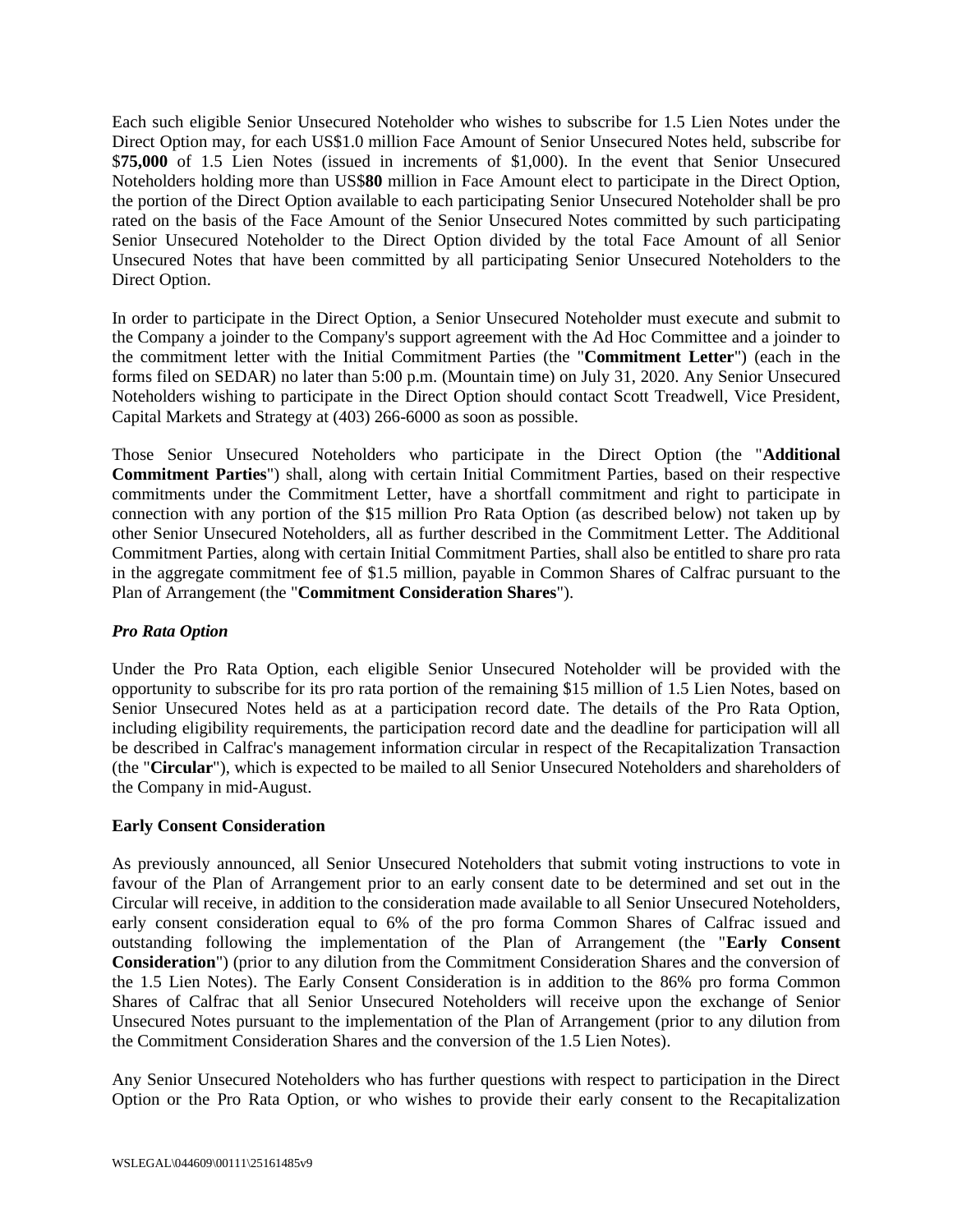Each such eligible Senior Unsecured Noteholder who wishes to subscribe for 1.5 Lien Notes under the Direct Option may, for each US\$1.0 million Face Amount of Senior Unsecured Notes held, subscribe for \$**75,000** of 1.5 Lien Notes (issued in increments of \$1,000). In the event that Senior Unsecured Noteholders holding more than US\$**80** million in Face Amount elect to participate in the Direct Option, the portion of the Direct Option available to each participating Senior Unsecured Noteholder shall be pro rated on the basis of the Face Amount of the Senior Unsecured Notes committed by such participating Senior Unsecured Noteholder to the Direct Option divided by the total Face Amount of all Senior Unsecured Notes that have been committed by all participating Senior Unsecured Noteholders to the Direct Option.

In order to participate in the Direct Option, a Senior Unsecured Noteholder must execute and submit to the Company a joinder to the Company's support agreement with the Ad Hoc Committee and a joinder to the commitment letter with the Initial Commitment Parties (the "**Commitment Letter**") (each in the forms filed on SEDAR) no later than 5:00 p.m. (Mountain time) on July 31, 2020. Any Senior Unsecured Noteholders wishing to participate in the Direct Option should contact Scott Treadwell, Vice President, Capital Markets and Strategy at (403) 266-6000 as soon as possible.

Those Senior Unsecured Noteholders who participate in the Direct Option (the "**Additional Commitment Parties**") shall, along with certain Initial Commitment Parties, based on their respective commitments under the Commitment Letter, have a shortfall commitment and right to participate in connection with any portion of the \$15 million Pro Rata Option (as described below) not taken up by other Senior Unsecured Noteholders, all as further described in the Commitment Letter. The Additional Commitment Parties, along with certain Initial Commitment Parties, shall also be entitled to share pro rata in the aggregate commitment fee of \$1.5 million, payable in Common Shares of Calfrac pursuant to the Plan of Arrangement (the "**Commitment Consideration Shares**").

# *Pro Rata Option*

Under the Pro Rata Option, each eligible Senior Unsecured Noteholder will be provided with the opportunity to subscribe for its pro rata portion of the remaining \$15 million of 1.5 Lien Notes, based on Senior Unsecured Notes held as at a participation record date. The details of the Pro Rata Option, including eligibility requirements, the participation record date and the deadline for participation will all be described in Calfrac's management information circular in respect of the Recapitalization Transaction (the "**Circular**"), which is expected to be mailed to all Senior Unsecured Noteholders and shareholders of the Company in mid-August.

# **Early Consent Consideration**

As previously announced, all Senior Unsecured Noteholders that submit voting instructions to vote in favour of the Plan of Arrangement prior to an early consent date to be determined and set out in the Circular will receive, in addition to the consideration made available to all Senior Unsecured Noteholders, early consent consideration equal to 6% of the pro forma Common Shares of Calfrac issued and outstanding following the implementation of the Plan of Arrangement (the "**Early Consent Consideration**") (prior to any dilution from the Commitment Consideration Shares and the conversion of the 1.5 Lien Notes). The Early Consent Consideration is in addition to the 86% pro forma Common Shares of Calfrac that all Senior Unsecured Noteholders will receive upon the exchange of Senior Unsecured Notes pursuant to the implementation of the Plan of Arrangement (prior to any dilution from the Commitment Consideration Shares and the conversion of the 1.5 Lien Notes).

Any Senior Unsecured Noteholders who has further questions with respect to participation in the Direct Option or the Pro Rata Option, or who wishes to provide their early consent to the Recapitalization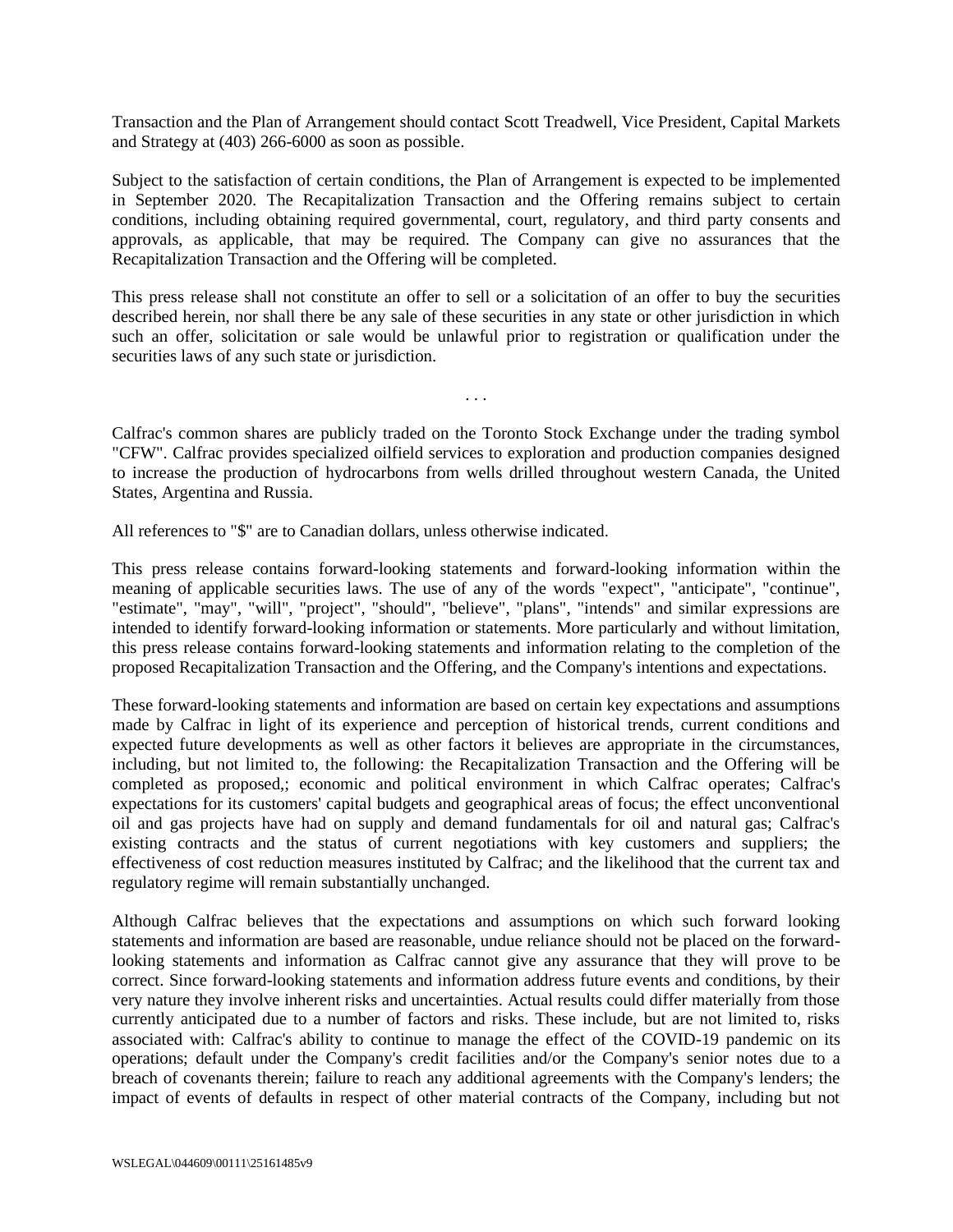Transaction and the Plan of Arrangement should contact Scott Treadwell, Vice President, Capital Markets and Strategy at (403) 266-6000 as soon as possible.

Subject to the satisfaction of certain conditions, the Plan of Arrangement is expected to be implemented in September 2020. The Recapitalization Transaction and the Offering remains subject to certain conditions, including obtaining required governmental, court, regulatory, and third party consents and approvals, as applicable, that may be required. The Company can give no assurances that the Recapitalization Transaction and the Offering will be completed.

This press release shall not constitute an offer to sell or a solicitation of an offer to buy the securities described herein, nor shall there be any sale of these securities in any state or other jurisdiction in which such an offer, solicitation or sale would be unlawful prior to registration or qualification under the securities laws of any such state or jurisdiction.

Calfrac's common shares are publicly traded on the Toronto Stock Exchange under the trading symbol "CFW". Calfrac provides specialized oilfield services to exploration and production companies designed to increase the production of hydrocarbons from wells drilled throughout western Canada, the United States, Argentina and Russia.

. . .

All references to "\$" are to Canadian dollars, unless otherwise indicated.

This press release contains forward-looking statements and forward-looking information within the meaning of applicable securities laws. The use of any of the words "expect", "anticipate", "continue", "estimate", "may", "will", "project", "should", "believe", "plans", "intends" and similar expressions are intended to identify forward-looking information or statements. More particularly and without limitation, this press release contains forward-looking statements and information relating to the completion of the proposed Recapitalization Transaction and the Offering, and the Company's intentions and expectations.

These forward-looking statements and information are based on certain key expectations and assumptions made by Calfrac in light of its experience and perception of historical trends, current conditions and expected future developments as well as other factors it believes are appropriate in the circumstances, including, but not limited to, the following: the Recapitalization Transaction and the Offering will be completed as proposed,; economic and political environment in which Calfrac operates; Calfrac's expectations for its customers' capital budgets and geographical areas of focus; the effect unconventional oil and gas projects have had on supply and demand fundamentals for oil and natural gas; Calfrac's existing contracts and the status of current negotiations with key customers and suppliers; the effectiveness of cost reduction measures instituted by Calfrac; and the likelihood that the current tax and regulatory regime will remain substantially unchanged.

Although Calfrac believes that the expectations and assumptions on which such forward looking statements and information are based are reasonable, undue reliance should not be placed on the forwardlooking statements and information as Calfrac cannot give any assurance that they will prove to be correct. Since forward-looking statements and information address future events and conditions, by their very nature they involve inherent risks and uncertainties. Actual results could differ materially from those currently anticipated due to a number of factors and risks. These include, but are not limited to, risks associated with: Calfrac's ability to continue to manage the effect of the COVID-19 pandemic on its operations; default under the Company's credit facilities and/or the Company's senior notes due to a breach of covenants therein; failure to reach any additional agreements with the Company's lenders; the impact of events of defaults in respect of other material contracts of the Company, including but not